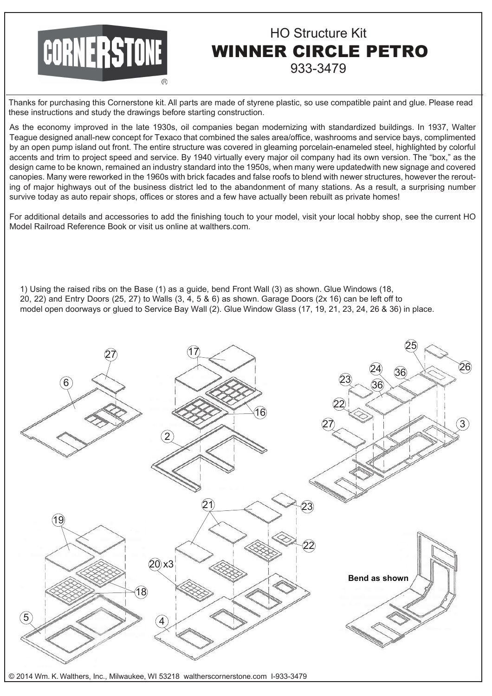## **CORNERSTONE**

## HO Structure Kit WINNER CIRCLE PETRO 933-3479

Thanks for purchasing this Cornerstone kit. All parts are made of styrene plastic, so use compatible paint and glue. Please read these instructions and study the drawings before starting construction.

As the economy improved in the late 1930s, oil companies began modernizing with standardized buildings. In 1937, Walter Teague designed anall-new concept for Texaco that combined the sales area/office, washrooms and service bays, complimented by an open pump island out front. The entire structure was covered in gleaming porcelain-enameled steel, highlighted by colorful accents and trim to project speed and service. By 1940 virtually every major oil company had its own version. The "box," as the design came to be known, remained an industry standard into the 1950s, when many were updatedwith new signage and covered canopies. Many were reworked in the 1960s with brick facades and false roofs to blend with newer structures, however the rerouting of major highways out of the business district led to the abandonment of many stations. As a result, a surprising number survive today as auto repair shops, offices or stores and a few have actually been rebuilt as private homes!

For additional details and accessories to add the finishing touch to your model, visit your local hobby shop, see the current HO Model Railroad Reference Book or visit us online at walthers.com.

1) Using the raised ribs on the Base (1) as a guide, bend Front Wall (3) as shown. Glue Windows (18, 20, 22) and Entry Doors (25, 27) to Walls (3, 4, 5 & 6) as shown. Garage Doors (2x 16) can be left off to model open doorways or glued to Service Bay Wall (2). Glue Window Glass (17, 19, 21, 23, 24, 26 & 36) in place.



© 2014 Wm. K. Walthers, Inc., Milwaukee, WI 53218 waltherscornerstone.com I-933-3479